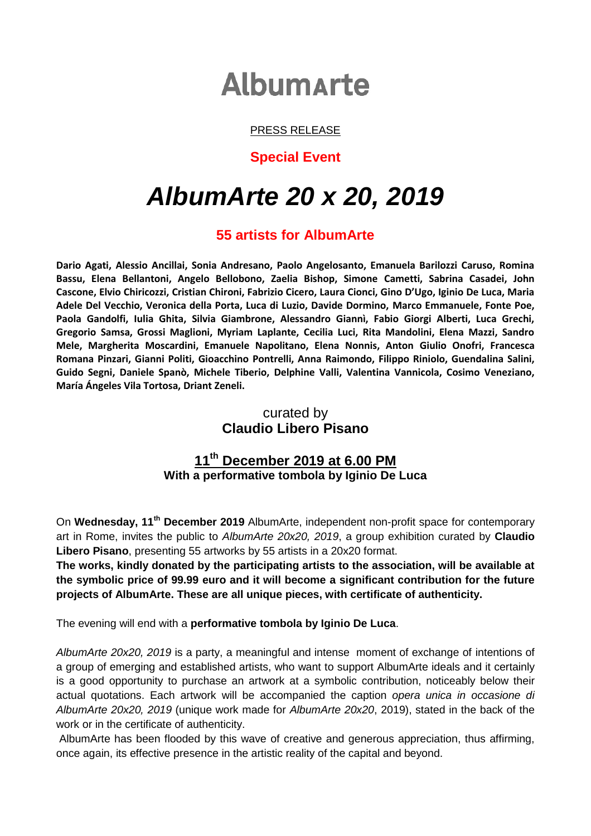# **Albumarte**

#### PRESS RELEASE

#### **Special Event**

# *AlbumArte 20 x 20, 2019*

# **55 artists for AlbumArte**

**Dario Agati, Alessio Ancillai, Sonia Andresano, Paolo Angelosanto, Emanuela Barilozzi Caruso, Romina Bassu, Elena Bellantoni, Angelo Bellobono, Zaelia Bishop, Simone Cametti, Sabrina Casadei, John Cascone, Elvio Chiricozzi, Cristian Chironi, Fabrizio Cicero, Laura Cionci, Gino D'Ugo, Iginio De Luca, Maria Adele Del Vecchio, Veronica della Porta, Luca di Luzio, Davide Dormino, Marco Emmanuele, Fonte Poe, Paola Gandolfi, Iulia Ghita, Silvia Giambrone, Alessandro Giannì, Fabio Giorgi Alberti, Luca Grechi, Gregorio Samsa, Grossi Maglioni, Myriam Laplante, Cecilia Luci, Rita Mandolini, Elena Mazzi, Sandro Mele, Margherita Moscardini, Emanuele Napolitano, Elena Nonnis, Anton Giulio Onofri, Francesca Romana Pinzari, Gianni Politi, Gioacchino Pontrelli, Anna Raimondo, Filippo Riniolo, Guendalina Salini, Guido Segni, Daniele Spanò, Michele Tiberio, Delphine Valli, Valentina Vannicola, Cosimo Veneziano, María Ángeles Vila Tortosa, Driant Zeneli.**

## curated by **Claudio Libero Pisano**

## **11 th December 2019 at 6.00 PM With a performative tombola by Iginio De Luca**

On **Wednesday, 11th December 2019** AlbumArte, independent non-profit space for contemporary art in Rome, invites the public to *AlbumArte 20x20, 2019*, a group exhibition curated by **Claudio Libero Pisano**, presenting 55 artworks by 55 artists in a 20x20 format.

**The works, kindly donated by the participating artists to the association, will be available at the symbolic price of 99.99 euro and it will become a significant contribution for the future projects of AlbumArte. These are all unique pieces, with certificate of authenticity.**

The evening will end with a **performative tombola by Iginio De Luca**.

*AlbumArte 20x20, 2019* is a party, a meaningful and intense moment of exchange of intentions of a group of emerging and established artists, who want to support AlbumArte ideals and it certainly is a good opportunity to purchase an artwork at a symbolic contribution, noticeably below their actual quotations. Each artwork will be accompanied the caption *opera unica in occasione di AlbumArte 20x20, 2019* (unique work made for *AlbumArte 20x20*, 2019), stated in the back of the work or in the certificate of authenticity.

AlbumArte has been flooded by this wave of creative and generous appreciation, thus affirming, once again, its effective presence in the artistic reality of the capital and beyond.